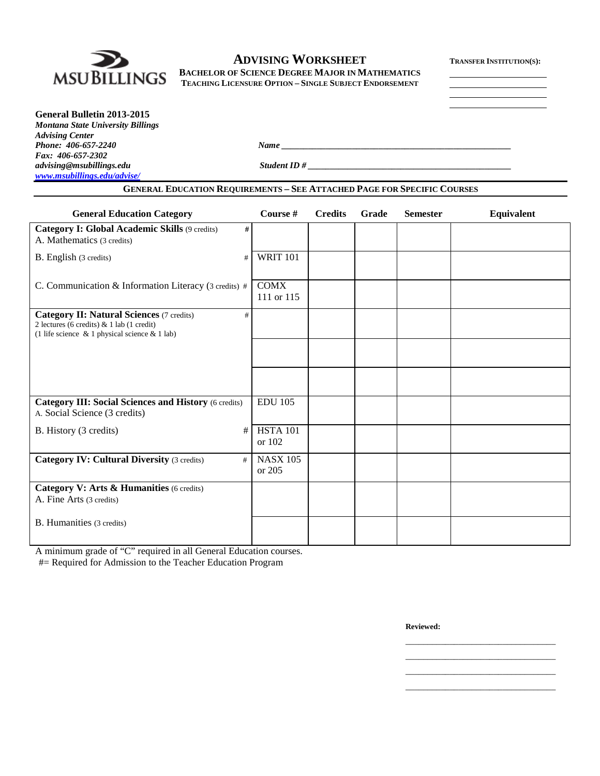

# **ADVISING WORKSHEET TRANSFER INSTITUTION(S):**

**BACHELOR OF SCIENCE DEGREE MAJOR IN MATHEMATICS TEACHING LICENSURE OPTION – SINGLE SUBJECT ENDORSEMENT**

| General Bulletin 2013-2015        |             |  |
|-----------------------------------|-------------|--|
| Montana State University Billings |             |  |
| <b>Advising Center</b>            |             |  |
| Phone: 406-657-2240               | <b>Name</b> |  |

*advising@msubillings.edu Student ID # \_\_\_\_\_\_\_\_\_\_\_\_\_\_\_\_\_\_\_\_\_\_\_\_\_\_\_\_\_\_\_\_\_\_\_\_\_\_\_\_\_\_\_\_\_\_*

*Fax: 406-657-2302 [www.msubillings.edu/advise/](http://www.msubillings.edu/advise/)*

# **GENERAL EDUCATION REQUIREMENTS – SEE ATTACHED PAGE FOR SPECIFIC COURSES**

| <b>General Education Category</b>                                                                                                                         | Course #                  | <b>Credits</b> | Grade | <b>Semester</b> | Equivalent |
|-----------------------------------------------------------------------------------------------------------------------------------------------------------|---------------------------|----------------|-------|-----------------|------------|
| Category I: Global Academic Skills (9 credits)<br>#<br>A. Mathematics (3 credits)                                                                         |                           |                |       |                 |            |
| B. English (3 credits)<br>#                                                                                                                               | <b>WRIT 101</b>           |                |       |                 |            |
| C. Communication & Information Literacy (3 credits) #                                                                                                     | <b>COMX</b><br>111 or 115 |                |       |                 |            |
| <b>Category II: Natural Sciences (7 credits)</b><br>#<br>2 lectures (6 credits) & 1 lab (1 credit)<br>(1 life science $\&$ 1 physical science $\&$ 1 lab) |                           |                |       |                 |            |
|                                                                                                                                                           |                           |                |       |                 |            |
|                                                                                                                                                           |                           |                |       |                 |            |
| <b>Category III: Social Sciences and History (6 credits)</b><br>A. Social Science (3 credits)                                                             | <b>EDU 105</b>            |                |       |                 |            |
| #<br>B. History (3 credits)                                                                                                                               | <b>HSTA 101</b><br>or 102 |                |       |                 |            |
| <b>Category IV: Cultural Diversity (3 credits)</b><br>#                                                                                                   | <b>NASX 105</b><br>or 205 |                |       |                 |            |
| Category V: Arts & Humanities (6 credits)<br>A. Fine Arts (3 credits)                                                                                     |                           |                |       |                 |            |
| <b>B.</b> Humanities (3 credits)                                                                                                                          |                           |                |       |                 |            |

A minimum grade of "C" required in all General Education courses.

#= Required for Admission to the Teacher Education Program

**Reviewed:**

\_\_\_\_\_\_\_\_\_\_\_\_\_\_\_\_\_\_\_\_\_\_\_\_\_\_\_\_\_\_\_\_\_\_ \_\_\_\_\_\_\_\_\_\_\_\_\_\_\_\_\_\_\_\_\_\_\_\_\_\_\_\_\_\_\_\_\_\_ \_\_\_\_\_\_\_\_\_\_\_\_\_\_\_\_\_\_\_\_\_\_\_\_\_\_\_\_\_\_\_\_\_\_ \_\_\_\_\_\_\_\_\_\_\_\_\_\_\_\_\_\_\_\_\_\_\_\_\_\_\_\_\_\_\_\_\_\_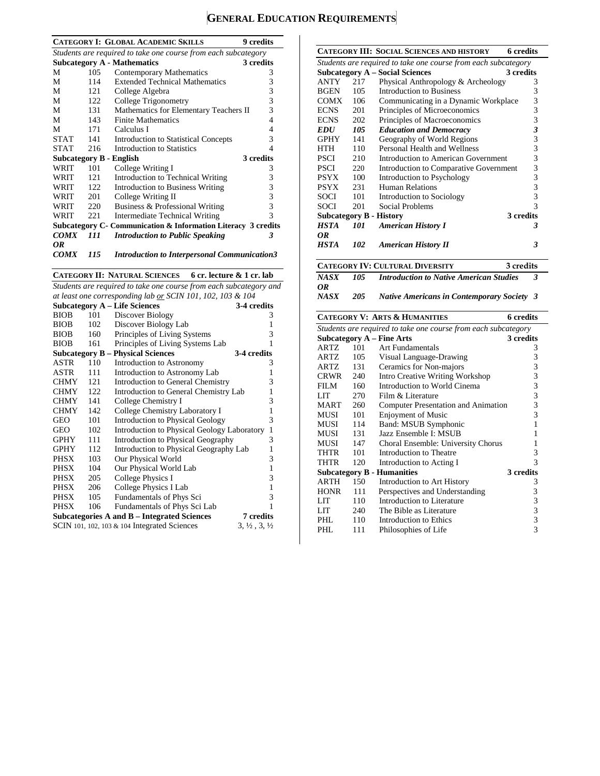# **GENERAL EDUCATION REQUIREMENTS**

|                                                                |      | <b>CATEGORY I: GLOBAL ACADEMIC SKILLS</b>                      | 9 credits |  |
|----------------------------------------------------------------|------|----------------------------------------------------------------|-----------|--|
| Students are required to take one course from each subcategory |      |                                                                |           |  |
|                                                                |      | <b>Subcategory A - Mathematics</b>                             | 3 credits |  |
| М                                                              | 105  | Contemporary Mathematics                                       | 3         |  |
| М                                                              | 114  | <b>Extended Technical Mathematics</b>                          | 3         |  |
| М                                                              | 121  | College Algebra                                                | 3         |  |
| М                                                              | 122  | College Trigonometry                                           | 3         |  |
| М                                                              | 131  | Mathematics for Elementary Teachers II                         | 3         |  |
| М                                                              | 143  | <b>Finite Mathematics</b>                                      | 4         |  |
| М                                                              | 171  | Calculus I                                                     | 4         |  |
| <b>STAT</b>                                                    | 141  | <b>Introduction to Statistical Concepts</b>                    | 3         |  |
| <b>STAT</b>                                                    | 216  | Introduction to Statistics                                     | 4         |  |
|                                                                |      | <b>Subcategory B - English</b>                                 | 3 credits |  |
| WRIT                                                           | 101  | College Writing I                                              | 3         |  |
| WRIT                                                           | 121  | Introduction to Technical Writing                              | 3         |  |
| WRIT                                                           | 122. | Introduction to Business Writing                               | 3         |  |
| WRIT                                                           | 201  | College Writing II                                             | 3         |  |
| WRIT                                                           | 220  | Business & Professional Writing                                | 3         |  |
| WRIT                                                           | 22.1 | Intermediate Technical Writing                                 | 3         |  |
|                                                                |      | Subcategory C - Communication & Information Literacy 3 credits |           |  |
| <b>COMX</b>                                                    | 111  | <b>Introduction to Public Speaking</b>                         | 3         |  |
| OR                                                             |      |                                                                |           |  |
| <b>COMX</b>                                                    | 115  | <b>Introduction to Interpersonal Communication3</b>            |           |  |

**CATEGORY II: NATURAL SCIENCES 6 cr. lecture & 1 cr. lab**

*Students are required to take one course from each subcategory and* 

| at least one corresponding lab <u>or</u> SCIN 101, 102, 103 & 104 |     |                                                                                             |                                               |
|-------------------------------------------------------------------|-----|---------------------------------------------------------------------------------------------|-----------------------------------------------|
|                                                                   |     | <b>Subcategory A – Life Sciences</b>                                                        | 3-4 credits                                   |
| <b>BIOB</b>                                                       | 101 | Discover Biology                                                                            | 3                                             |
| <b>BIOB</b>                                                       | 102 | Discover Biology Lab                                                                        | 1                                             |
| <b>BIOB</b>                                                       | 160 | Principles of Living Systems                                                                | 3                                             |
| <b>BIOB</b>                                                       | 161 | Principles of Living Systems Lab                                                            | 1                                             |
|                                                                   |     | <b>Subcategory B – Physical Sciences</b>                                                    | 3-4 credits                                   |
| ASTR                                                              | 110 | Introduction to Astronomy                                                                   | 3                                             |
| ASTR                                                              | 111 | Introduction to Astronomy Lab                                                               | 1                                             |
| <b>CHMY</b>                                                       | 121 | Introduction to General Chemistry                                                           | 3                                             |
| <b>CHMY</b>                                                       | 122 | Introduction to General Chemistry Lab                                                       | 1                                             |
| <b>CHMY</b>                                                       | 141 | College Chemistry I                                                                         | 3                                             |
| <b>CHMY</b>                                                       | 142 | College Chemistry Laboratory I                                                              | 1                                             |
| <b>GEO</b>                                                        | 101 | Introduction to Physical Geology                                                            | 3                                             |
| GEO                                                               | 102 | Introduction to Physical Geology Laboratory                                                 | $\mathbf{1}$                                  |
| <b>GPHY</b>                                                       | 111 | Introduction to Physical Geography                                                          | 3                                             |
| <b>GPHY</b>                                                       | 112 | Introduction to Physical Geography Lab                                                      | 1                                             |
| PHSX                                                              | 103 | Our Physical World                                                                          | 3                                             |
| PHSX                                                              | 104 | Our Physical World Lab                                                                      | $\mathbf{1}$                                  |
| PHSX                                                              | 205 | College Physics I                                                                           | 3                                             |
| PHSX                                                              | 206 | College Physics I Lab                                                                       | $\mathbf{1}$                                  |
| PHSX                                                              | 105 | Fundamentals of Phys Sci                                                                    | 3                                             |
| <b>PHSX</b>                                                       | 106 | Fundamentals of Phys Sci Lab                                                                | 1                                             |
|                                                                   |     | Subcategories A and B – Integrated Sciences<br>SCIN 101, 102, 103 & 104 Integrated Sciences | 7 credits<br>$3, \frac{1}{2}, 3, \frac{1}{2}$ |

|             |     | <b>CATEGORY III: SOCIAL SCIENCES AND HISTORY</b>               | <b>6</b> credits        |
|-------------|-----|----------------------------------------------------------------|-------------------------|
|             |     | Students are required to take one course from each subcategory |                         |
|             |     | <b>Subcategory A – Social Sciences</b>                         | 3 credits               |
| ANTY        | 217 | Physical Anthropology & Archeology                             | 3                       |
| <b>BGEN</b> | 105 | <b>Introduction to Business</b>                                | 3                       |
| COMX        | 106 | Communicating in a Dynamic Workplace                           | 3                       |
| <b>ECNS</b> | 201 | Principles of Microeconomics                                   | 3                       |
| <b>ECNS</b> | 202 | Principles of Macroeconomics                                   | 3                       |
| <b>EDU</b>  | 105 | <b>Education and Democracy</b>                                 | $\overline{\mathbf{3}}$ |
| <b>GPHY</b> | 141 | Geography of World Regions                                     | 3                       |
| HTH         | 110 | Personal Health and Wellness                                   | 3                       |
| PSCI        | 210 | Introduction to American Government                            | 3                       |
| PSCI        | 220 | Introduction to Comparative Government                         | 3                       |
| PSYX        | 100 | Introduction to Psychology                                     | 3                       |
| PSYX        | 231 | <b>Human Relations</b>                                         | 3                       |
| SOCI        | 101 | Introduction to Sociology                                      | 3                       |
| SOCI        | 201 | Social Problems                                                | 3                       |
|             |     | <b>Subcategory B - History</b>                                 | 3 credits               |
| <b>HSTA</b> | 101 | <b>American History I</b>                                      | 3                       |
| 0R          |     |                                                                |                         |
| <b>HSTA</b> | 102 | <b>American History II</b>                                     | 3                       |
|             |     |                                                                |                         |
|             |     | <b>CATEGORY IV: CULTURAL DIVERSITY</b>                         | 3 credits               |
| <b>NASX</b> | 105 | <b>Introduction to Native American Studies</b>                 | 3                       |
| 0R          |     |                                                                |                         |
|             |     |                                                                |                         |
| <b>NASX</b> | 205 | <b>Native Americans in Contemporary Society</b>                | 3                       |
|             |     | <b>CATEGORY V: ARTS &amp; HUMANITIES</b>                       | <b>6</b> credits        |
|             |     | Students are required to take one course from each subcategory |                         |
|             |     | <b>Subcategory A – Fine Arts</b>                               | 3 credits               |
| <b>ARTZ</b> | 101 | <b>Art Fundamentals</b>                                        | 3                       |
| ARTZ        | 105 | Visual Language-Drawing                                        | 3                       |
| ARTZ        | 131 | Ceramics for Non-majors                                        | 3                       |
| <b>CRWR</b> | 240 | <b>Intro Creative Writing Workshop</b>                         | 3                       |
| FILM        | 160 | Introduction to World Cinema                                   | 3                       |
| LIT         | 270 | Film & Literature                                              | 3                       |
| MART        | 260 | <b>Computer Presentation and Animation</b>                     | 3                       |
| MUSI        | 101 | <b>Enjoyment of Music</b>                                      | 3                       |
| MUSI        | 114 | <b>Band: MSUB Symphonic</b>                                    | 1                       |
| MUSI        | 131 | Jazz Ensemble I: MSUB                                          | 1                       |
| MUSI        | 147 |                                                                | 1                       |
| THTR        | 101 | Choral Ensemble: University Chorus<br>Introduction to Theatre  | 3                       |
| THTR        | 120 |                                                                | 3                       |
|             |     | Introduction to Acting I                                       | 3 credits               |
| ARTH        | 150 | <b>Subcategory B - Humanities</b>                              | 3                       |
| <b>HONR</b> | 111 | Introduction to Art History<br>Perspectives and Understanding  |                         |
| LIT         | 110 |                                                                | 3                       |
| <b>LIT</b>  | 240 | Introduction to Literature<br>The Bible as Literature          | 3                       |
| PHL         | 110 | Introduction to Ethics                                         | 3<br>3                  |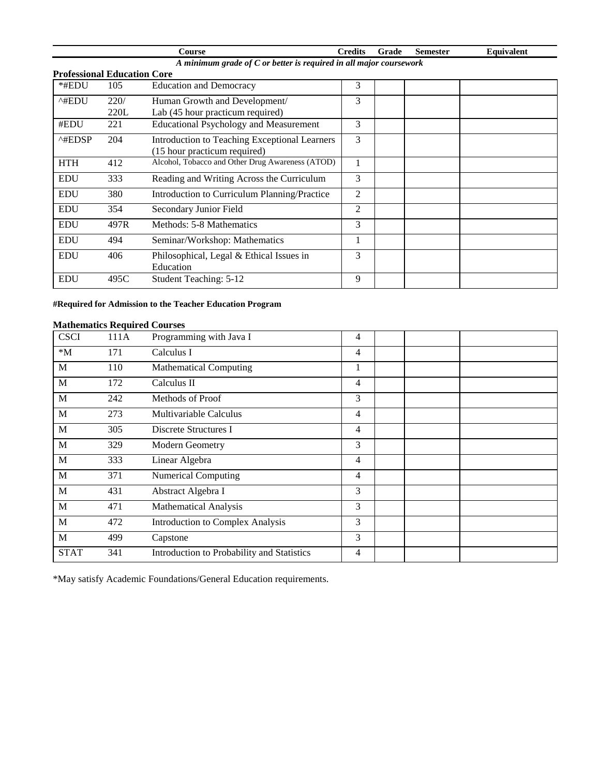|                                                                    |      | Course                                                | <b>Credits</b> | Grade | <b>Semester</b> | <b>Equivalent</b> |
|--------------------------------------------------------------------|------|-------------------------------------------------------|----------------|-------|-----------------|-------------------|
| A minimum grade of C or better is required in all major coursework |      |                                                       |                |       |                 |                   |
| <b>Professional Education Core</b>                                 |      |                                                       |                |       |                 |                   |
| *#EDU                                                              | 105  | <b>Education and Democracy</b>                        | 3              |       |                 |                   |
| ^#EDU                                                              | 220/ | Human Growth and Development/                         | 3              |       |                 |                   |
|                                                                    | 220L | Lab (45 hour practicum required)                      |                |       |                 |                   |
| #EDU                                                               | 221  | <b>Educational Psychology and Measurement</b>         | 3              |       |                 |                   |
| $^{\wedge\text{HEDSP}}$                                            | 204  | Introduction to Teaching Exceptional Learners         | 3              |       |                 |                   |
|                                                                    |      | (15 hour practicum required)                          |                |       |                 |                   |
| <b>HTH</b>                                                         | 412  | Alcohol, Tobacco and Other Drug Awareness (ATOD)      |                |       |                 |                   |
| <b>EDU</b>                                                         | 333  | Reading and Writing Across the Curriculum             | 3              |       |                 |                   |
| <b>EDU</b>                                                         | 380  | Introduction to Curriculum Planning/Practice          | $\overline{2}$ |       |                 |                   |
| <b>EDU</b>                                                         | 354  | Secondary Junior Field                                | $\overline{2}$ |       |                 |                   |
| <b>EDU</b>                                                         | 497R | Methods: 5-8 Mathematics                              | 3              |       |                 |                   |
| <b>EDU</b>                                                         | 494  | Seminar/Workshop: Mathematics                         |                |       |                 |                   |
| <b>EDU</b>                                                         | 406  | Philosophical, Legal & Ethical Issues in<br>Education | 3              |       |                 |                   |
| <b>EDU</b>                                                         | 495C | Student Teaching: 5-12                                | 9              |       |                 |                   |

### **#Required for Admission to the Teacher Education Program**

|             |      | Mathématics Required Courses               |                |  |  |
|-------------|------|--------------------------------------------|----------------|--|--|
| <b>CSCI</b> | 111A | Programming with Java I                    | 4              |  |  |
| $*M$        | 171  | Calculus I                                 | $\overline{4}$ |  |  |
| M           | 110  | <b>Mathematical Computing</b>              | $\perp$        |  |  |
| M           | 172  | Calculus II                                | $\overline{4}$ |  |  |
| M           | 242  | Methods of Proof                           | 3              |  |  |
| M           | 273  | Multivariable Calculus                     | $\overline{4}$ |  |  |
| M           | 305  | Discrete Structures I                      | $\overline{4}$ |  |  |
| M           | 329  | Modern Geometry                            | 3              |  |  |
| M           | 333  | Linear Algebra                             | $\overline{4}$ |  |  |
| M           | 371  | Numerical Computing                        | $\overline{4}$ |  |  |
| M           | 431  | Abstract Algebra I                         | 3              |  |  |
| M           | 471  | <b>Mathematical Analysis</b>               | 3              |  |  |
| M           | 472  | <b>Introduction to Complex Analysis</b>    | 3              |  |  |
| M           | 499  | Capstone                                   | 3              |  |  |
| <b>STAT</b> | 341  | Introduction to Probability and Statistics | 4              |  |  |
|             |      |                                            |                |  |  |

### **Mathematics Required Courses**

\*May satisfy Academic Foundations/General Education requirements.